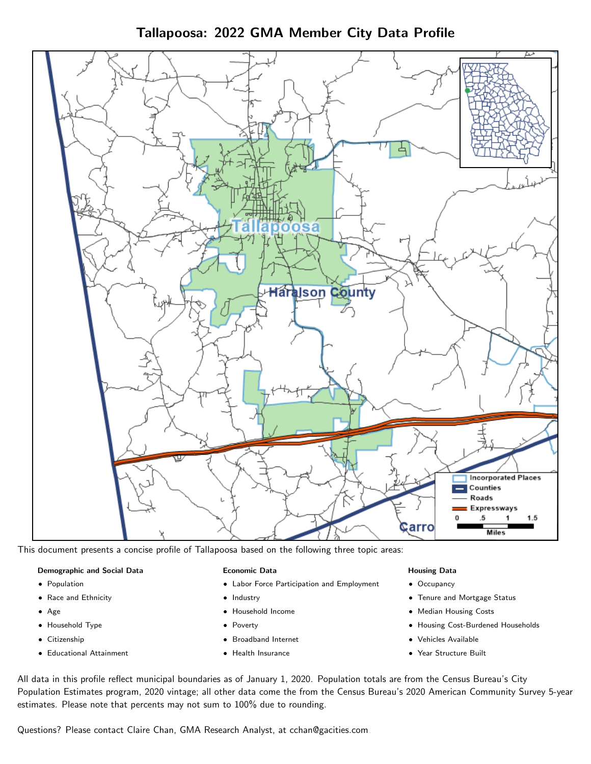Tallapoosa: 2022 GMA Member City Data Profile



This document presents a concise profile of Tallapoosa based on the following three topic areas:

#### Demographic and Social Data

- **•** Population
- Race and Ethnicity
- Age
- Household Type
- **Citizenship**
- Educational Attainment

#### Economic Data

- Labor Force Participation and Employment
- Industry
- Household Income
- Poverty
- Broadband Internet
- Health Insurance

#### Housing Data

- Occupancy
- Tenure and Mortgage Status
- Median Housing Costs
- Housing Cost-Burdened Households
- Vehicles Available
- Year Structure Built

All data in this profile reflect municipal boundaries as of January 1, 2020. Population totals are from the Census Bureau's City Population Estimates program, 2020 vintage; all other data come the from the Census Bureau's 2020 American Community Survey 5-year estimates. Please note that percents may not sum to 100% due to rounding.

Questions? Please contact Claire Chan, GMA Research Analyst, at [cchan@gacities.com.](mailto:cchan@gacities.com)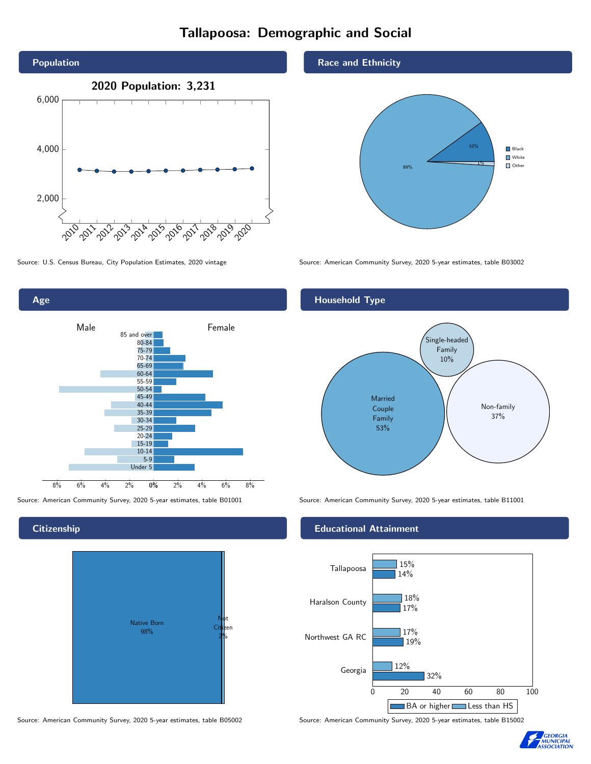# Tallapoosa: Demographic and Social





**Citizenship** 



Source: American Community Survey, 2020 5-year estimates, table B05002 Source: American Community Survey, 2020 5-year estimates, table B15002

Race and Ethnicity



Source: U.S. Census Bureau, City Population Estimates, 2020 vintage Source: American Community Survey, 2020 5-year estimates, table B03002

## Household Type



Source: American Community Survey, 2020 5-year estimates, table B01001 Source: American Community Survey, 2020 5-year estimates, table B11001

### Educational Attainment



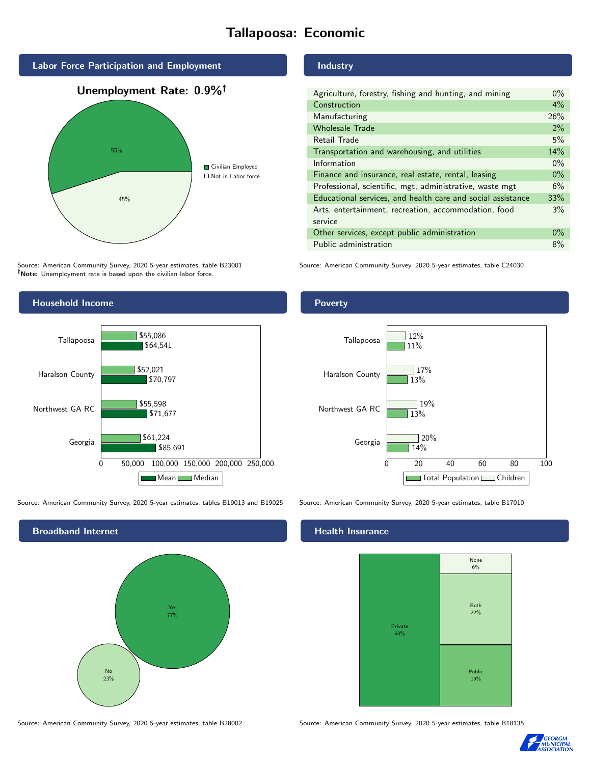# Tallapoosa: Economic



Source: American Community Survey, 2020 5-year estimates, table B23001 Note: Unemployment rate is based upon the civilian labor force.



Source: American Community Survey, 2020 5-year estimates, tables B19013 and B19025 Source: American Community Survey, 2020 5-year estimates, table B17010



Source: American Community Survey, 2020 5-year estimates, table B28002 Source: American Community Survey, 2020 5-year estimates, table B18135

Industry

| Agriculture, forestry, fishing and hunting, and mining      | $0\%$ |
|-------------------------------------------------------------|-------|
| Construction                                                | 4%    |
| Manufacturing                                               | 26%   |
| <b>Wholesale Trade</b>                                      | 2%    |
| Retail Trade                                                | 5%    |
| Transportation and warehousing, and utilities               | 14%   |
| Information                                                 | $0\%$ |
| Finance and insurance, real estate, rental, leasing         | $0\%$ |
| Professional, scientific, mgt, administrative, waste mgt    | 6%    |
| Educational services, and health care and social assistance | 33%   |
| Arts, entertainment, recreation, accommodation, food        | 3%    |
| service                                                     |       |
| Other services, except public administration                | $0\%$ |
| Public administration                                       | 8%    |

Source: American Community Survey, 2020 5-year estimates, table C24030

Poverty



### Health Insurance